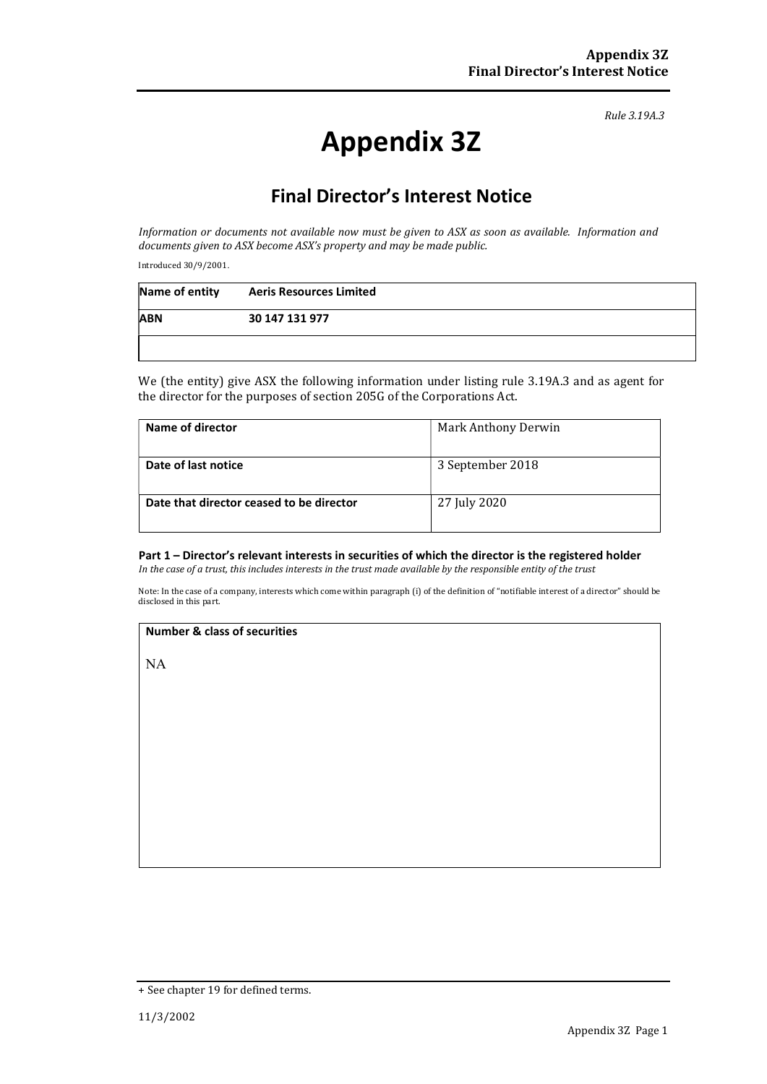Rule 3.19A.3

# Appendix 3Z

# Final Director's Interest Notice

Information or documents not available now must be given to ASX as soon as available. Information and documents given to ASX become ASX's property and may be made public.

Introduced 30/9/2001.

| Name of entity | <b>Aeris Resources Limited</b> |  |
|----------------|--------------------------------|--|
| <b>ABN</b>     | 30 147 131 977                 |  |
|                |                                |  |

We (the entity) give ASX the following information under listing rule 3.19A.3 and as agent for the director for the purposes of section 205G of the Corporations Act.

| Name of director                         | Mark Anthony Derwin |
|------------------------------------------|---------------------|
|                                          |                     |
| Date of last notice                      | 3 September 2018    |
|                                          |                     |
| Date that director ceased to be director | 27 July 2020        |
|                                          |                     |

### Part 1 – Director's relevant interests in securities of which the director is the registered holder

In the case of a trust, this includes interests in the trust made available by the responsible entity of the trust

Note: In the case of a company, interests which come within paragraph (i) of the definition of "notifiable interest of a director" should be disclosed in this part.

#### Number & class of securities

NA

<sup>+</sup> See chapter 19 for defined terms.